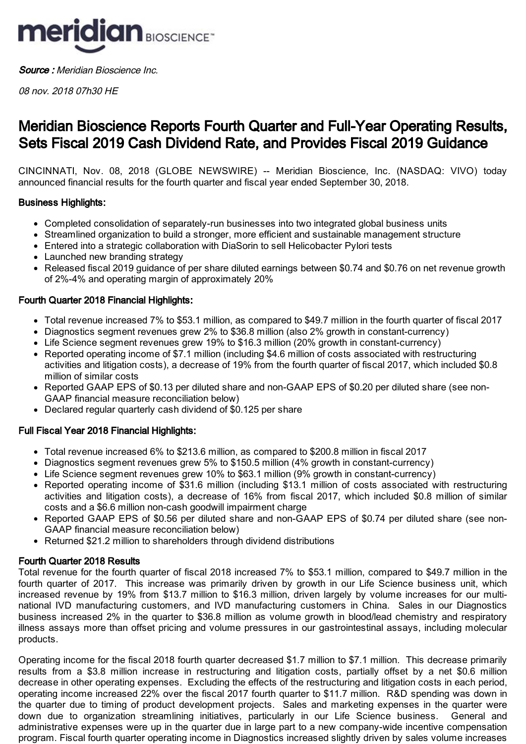

Source : Meridian Bioscience Inc.

08 nov. 2018 07h30 HE

# Meridian Bioscience Reports Fourth Quarter and Full-Year Operating Results, Sets Fiscal 2019 Cash Dividend Rate, and Provides Fiscal 2019 Guidance

CINCINNATI, Nov. 08, 2018 (GLOBE NEWSWIRE) -- Meridian Bioscience, Inc. (NASDAQ: VIVO) today announced financial results for the fourth quarter and fiscal year ended September 30, 2018.

## Business Highlights:

- Completed consolidation of separately-run businesses into two integrated global business units
- Streamlined organization to build a stronger, more efficient and sustainable management structure
- Entered into a strategic collaboration with DiaSorin to sell Helicobacter Pylori tests
- Launched new branding strategy
- Released fiscal 2019 guidance of per share diluted earnings between \$0.74 and \$0.76 on net revenue growth of 2%-4% and operating margin of approximately 20%

## Fourth Quarter 2018 Financial Highlights:

- Total revenue increased 7% to \$53.1 million, as compared to \$49.7 million in the fourth quarter of fiscal 2017
- Diagnostics segment revenues grew 2% to \$36.8 million (also 2% growth in constant-currency)
- Life Science segment revenues grew 19% to \$16.3 million (20% growth in constant-currency)
- Reported operating income of \$7.1 million (including \$4.6 million of costs associated with restructuring activities and litigation costs), a decrease of 19% from the fourth quarter of fiscal 2017, which included \$0.8 million of similar costs
- Reported GAAP EPS of \$0.13 per diluted share and non-GAAP EPS of \$0.20 per diluted share (see non-GAAP financial measure reconciliation below)
- Declared regular quarterly cash dividend of \$0.125 per share

## Full Fiscal Year 2018 Financial Highlights:

- Total revenue increased 6% to \$213.6 million, as compared to \$200.8 million in fiscal 2017
- Diagnostics segment revenues grew 5% to \$150.5 million (4% growth in constant-currency)
- Life Science segment revenues grew 10% to \$63.1 million (9% growth in constant-currency)
- Reported operating income of \$31.6 million (including \$13.1 million of costs associated with restructuring activities and litigation costs), a decrease of 16% from fiscal 2017, which included \$0.8 million of similar costs and a \$6.6 million non-cash goodwill impairment charge
- Reported GAAP EPS of \$0.56 per diluted share and non-GAAP EPS of \$0.74 per diluted share (see non-GAAP financial measure reconciliation below)
- Returned \$21.2 million to shareholders through dividend distributions

## Fourth Quarter 2018 Results

Total revenue for the fourth quarter of fiscal 2018 increased 7% to \$53.1 million, compared to \$49.7 million in the fourth quarter of 2017. This increase was primarily driven by growth in our Life Science business unit, which increased revenue by 19% from \$13.7 million to \$16.3 million, driven largely by volume increases for our multinational IVD manufacturing customers, and IVD manufacturing customers in China. Sales in our Diagnostics business increased 2% in the quarter to \$36.8 million as volume growth in blood/lead chemistry and respiratory illness assays more than offset pricing and volume pressures in our gastrointestinal assays, including molecular products.

Operating income for the fiscal 2018 fourth quarter decreased \$1.7 million to \$7.1 million. This decrease primarily results from a \$3.8 million increase in restructuring and litigation costs, partially offset by a net \$0.6 million decrease in other operating expenses. Excluding the effects of the restructuring and litigation costs in each period, operating income increased 22% over the fiscal 2017 fourth quarter to \$11.7 million. R&D spending was down in the quarter due to timing of product development projects. Sales and marketing expenses in the quarter were down due to organization streamlining initiatives, particularly in our Life Science business. General and administrative expenses were up in the quarter due in large part to a new company-wide incentive compensation program. Fiscal fourth quarter operating income in Diagnostics increased slightly driven by sales volume increases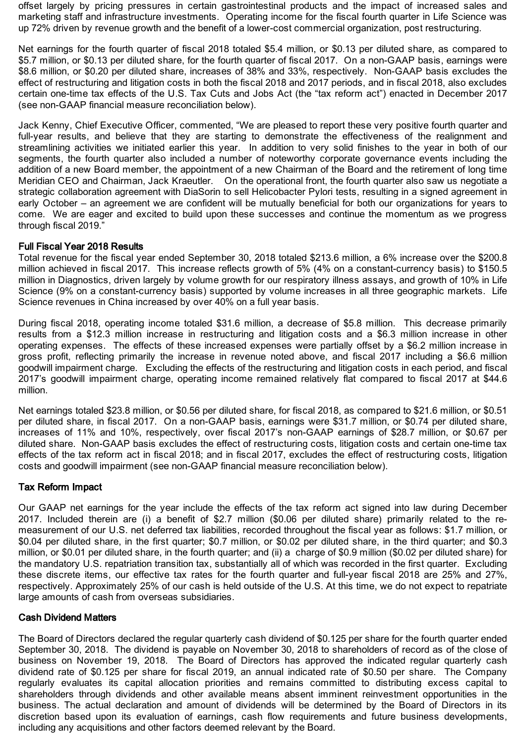offset largely by pricing pressures in certain gastrointestinal products and the impact of increased sales and marketing staff and infrastructure investments. Operating income for the fiscal fourth quarter in Life Science was up 72% driven by revenue growth and the benefit of a lower-cost commercial organization, post restructuring.

Net earnings for the fourth quarter of fiscal 2018 totaled \$5.4 million, or \$0.13 per diluted share, as compared to \$5.7 million, or \$0.13 per diluted share, for the fourth quarter of fiscal 2017. On a non-GAAP basis, earnings were \$8.6 million, or \$0.20 per diluted share, increases of 38% and 33%, respectively. Non-GAAP basis excludes the effect of restructuring and litigation costs in both the fiscal 2018 and 2017 periods, and in fiscal 2018, also excludes certain one-time tax effects of the U.S. Tax Cuts and Jobs Act (the "tax reform act") enacted in December 2017 (see non-GAAP financial measure reconciliation below).

Jack Kenny, Chief Executive Officer, commented, "We are pleased to report these very positive fourth quarter and full-year results, and believe that they are starting to demonstrate the effectiveness of the realignment and streamlining activities we initiated earlier this year. In addition to very solid finishes to the year in both of our segments, the fourth quarter also included a number of noteworthy corporate governance events including the addition of a new Board member, the appointment of a new Chairman of the Board and the retirement of long time Meridian CEO and Chairman, Jack Kraeutler. On the operational front, the fourth quarter also saw us negotiate a strategic collaboration agreement with DiaSorin to sell Helicobacter Pylori tests, resulting in a signed agreement in early October – an agreement we are confident will be mutually beneficial for both our organizations for years to come. We are eager and excited to build upon these successes and continue the momentum as we progress through fiscal 2019."

#### Full Fiscal Year 2018 Results

Total revenue for the fiscal year ended September 30, 2018 totaled \$213.6 million, a 6% increase over the \$200.8 million achieved in fiscal 2017. This increase reflects growth of 5% (4% on a constant-currency basis) to \$150.5 million in Diagnostics, driven largely by volume growth for our respiratory illness assays, and growth of 10% in Life Science (9% on a constant-currency basis) supported by volume increases in all three geographic markets. Life Science revenues in China increased by over 40% on a full year basis.

During fiscal 2018, operating income totaled \$31.6 million, a decrease of \$5.8 million. This decrease primarily results from a \$12.3 million increase in restructuring and litigation costs and a \$6.3 million increase in other operating expenses. The effects of these increased expenses were partially offset by a \$6.2 million increase in gross profit, reflecting primarily the increase in revenue noted above, and fiscal 2017 including a \$6.6 million goodwill impairment charge. Excluding the effects of the restructuring and litigation costs in each period, and fiscal 2017's goodwill impairment charge, operating income remained relatively flat compared to fiscal 2017 at \$44.6 million.

Net earnings totaled \$23.8 million, or \$0.56 per diluted share, for fiscal 2018, as compared to \$21.6 million, or \$0.51 per diluted share, in fiscal 2017. On a non-GAAP basis, earnings were \$31.7 million, or \$0.74 per diluted share, increases of 11% and 10%, respectively, over fiscal 2017's non-GAAP earnings of \$28.7 million, or \$0.67 per diluted share. Non-GAAP basis excludes the effect of restructuring costs, litigation costs and certain one-time tax effects of the tax reform act in fiscal 2018; and in fiscal 2017, excludes the effect of restructuring costs, litigation costs and goodwill impairment (see non-GAAP financial measure reconciliation below).

#### Tax Reform Impact

Our GAAP net earnings for the year include the effects of the tax reform act signed into law during December 2017. Included therein are (i) a benefit of \$2.7 million (\$0.06 per diluted share) primarily related to the remeasurement of our U.S. net deferred tax liabilities, recorded throughout the fiscal year as follows: \$1.7 million, or \$0.04 per diluted share, in the first quarter; \$0.7 million, or \$0.02 per diluted share, in the third quarter; and \$0.3 million, or \$0.01 per diluted share, in the fourth quarter; and (ii) a charge of \$0.9 million (\$0.02 per diluted share) for the mandatory U.S. repatriation transition tax, substantially all of which was recorded in the first quarter. Excluding these discrete items, our effective tax rates for the fourth quarter and full-year fiscal 2018 are 25% and 27%, respectively. Approximately 25% of our cash is held outside of the U.S. At this time, we do not expect to repatriate large amounts of cash from overseas subsidiaries.

#### Cash Dividend Matters

The Board of Directors declared the regular quarterly cash dividend of \$0.125 per share for the fourth quarter ended September 30, 2018. The dividend is payable on November 30, 2018 to shareholders of record as of the close of business on November 19, 2018. The Board of Directors has approved the indicated regular quarterly cash dividend rate of \$0.125 per share for fiscal 2019, an annual indicated rate of \$0.50 per share. The Company regularly evaluates its capital allocation priorities and remains committed to distributing excess capital to shareholders through dividends and other available means absent imminent reinvestment opportunities in the business. The actual declaration and amount of dividends will be determined by the Board of Directors in its discretion based upon its evaluation of earnings, cash flow requirements and future business developments, including any acquisitions and other factors deemed relevant by the Board.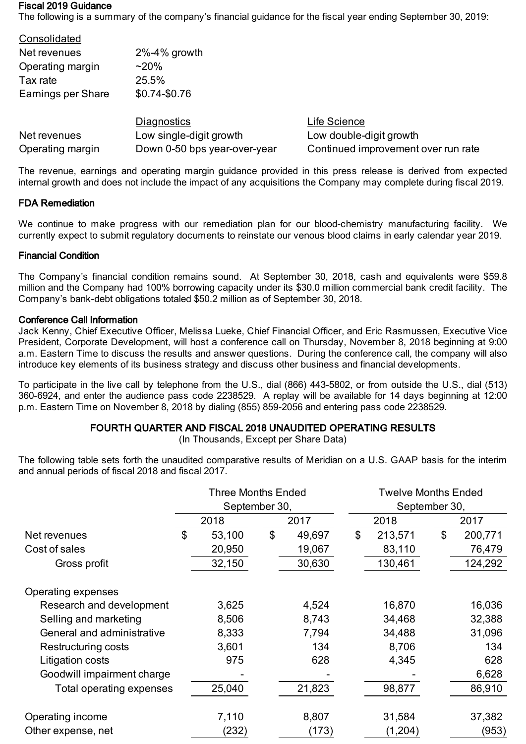#### Fiscal 2019 Guidance

The following is a summary of the company's financial guidance for the fiscal year ending September 30, 2019:

| Consolidated       |                              |                                     |
|--------------------|------------------------------|-------------------------------------|
| Net revenues       | $2\% - 4\%$ growth           |                                     |
| Operating margin   | $~20\%$                      |                                     |
| Tax rate           | 25.5%                        |                                     |
| Earnings per Share | \$0.74-\$0.76                |                                     |
|                    | <b>Diagnostics</b>           | Life Science                        |
| Net revenues       | Low single-digit growth      | Low double-digit growth             |
| Operating margin   | Down 0-50 bps year-over-year | Continued improvement over run rate |

The revenue, earnings and operating margin guidance provided in this press release is derived from expected internal growth and does not include the impact of any acquisitions the Company may complete during fiscal 2019.

#### FDA Remediation

We continue to make progress with our remediation plan for our blood-chemistry manufacturing facility. We currently expect to submit regulatory documents to reinstate our venous blood claims in early calendar year 2019.

#### Financial Condition

The Company's financial condition remains sound. At September 30, 2018, cash and equivalents were \$59.8 million and the Company had 100% borrowing capacity under its \$30.0 million commercial bank credit facility. The Company's bank-debt obligations totaled \$50.2 million as of September 30, 2018.

#### Conference Call Information

Jack Kenny, Chief Executive Officer, Melissa Lueke, Chief Financial Officer, and Eric Rasmussen, Executive Vice President, Corporate Development, will host a conference call on Thursday, November 8, 2018 beginning at 9:00 a.m. Eastern Time to discuss the results and answer questions. During the conference call, the company will also introduce key elements of its business strategy and discuss other business and financial developments.

To participate in the live call by telephone from the U.S., dial (866) 443-5802, or from outside the U.S., dial (513) 360-6924, and enter the audience pass code 2238529. A replay will be available for 14 days beginning at 12:00 p.m. Eastern Time on November 8, 2018 by dialing (855) 859-2056 and entering pass code 2238529.

#### FOURTH QUARTER AND FISCAL 2018 UNAUDITED OPERATING RESULTS (In Thousands, Except per Share Data)

The following table sets forth the unaudited comparative results of Meridian on a U.S. GAAP basis for the interim and annual periods of fiscal 2018 and fiscal 2017.

|                            | <b>Three Months Ended</b><br>September 30, |        |    |        | <b>Twelve Months Ended</b> |                       |               |         |  |
|----------------------------|--------------------------------------------|--------|----|--------|----------------------------|-----------------------|---------------|---------|--|
|                            | 2018                                       |        |    | 2017   |                            | September 30,<br>2018 |               | 2017    |  |
| Net revenues               | $\mathcal{S}$                              | 53,100 | \$ | 49,697 | $\mathbb{S}$               | 213,571               | $\mathcal{L}$ | 200,771 |  |
| Cost of sales              |                                            | 20,950 |    | 19,067 |                            | 83,110                |               | 76,479  |  |
| Gross profit               |                                            | 32,150 |    | 30,630 |                            | 130,461               |               | 124,292 |  |
| Operating expenses         |                                            |        |    |        |                            |                       |               |         |  |
| Research and development   |                                            | 3,625  |    | 4,524  |                            | 16,870                |               | 16,036  |  |
| Selling and marketing      |                                            | 8,506  |    | 8,743  |                            | 34,468                |               | 32,388  |  |
| General and administrative |                                            | 8,333  |    | 7,794  |                            | 34,488                |               | 31,096  |  |
| Restructuring costs        |                                            | 3,601  |    | 134    |                            | 8,706                 |               | 134     |  |
| Litigation costs           |                                            | 975    |    | 628    |                            | 4,345                 |               | 628     |  |
| Goodwill impairment charge |                                            |        |    |        |                            |                       |               | 6,628   |  |
| Total operating expenses   |                                            | 25,040 |    | 21,823 |                            | 98,877                |               | 86,910  |  |
| Operating income           |                                            | 7,110  |    | 8,807  |                            | 31,584                |               | 37,382  |  |
| Other expense, net         |                                            | (232)  |    | (173)  |                            | (1,204)               |               | (953)   |  |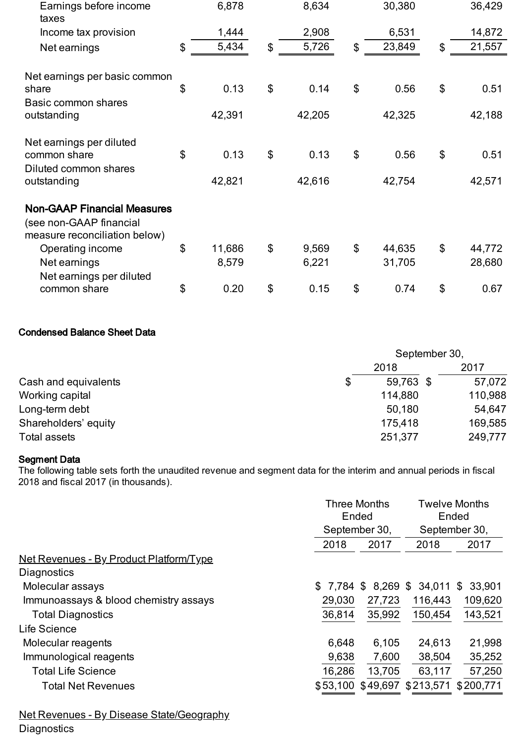| Earnings before income<br>taxes    |                           | 6,878  |                           | 8,634  |                           | 30,380 | 36,429       |
|------------------------------------|---------------------------|--------|---------------------------|--------|---------------------------|--------|--------------|
| Income tax provision               |                           | 1,444  |                           | 2,908  |                           | 6,531  | 14,872       |
| Net earnings                       | $\boldsymbol{\mathsf{S}}$ | 5,434  | \$                        | 5,726  | \$                        | 23,849 | \$<br>21,557 |
| Net earnings per basic common      |                           |        |                           |        |                           |        |              |
| share                              | \$                        | 0.13   | $\boldsymbol{\mathsf{S}}$ | 0.14   | $\mathfrak{S}$            | 0.56   | \$<br>0.51   |
| Basic common shares                |                           |        |                           |        |                           |        |              |
| outstanding                        |                           | 42,391 |                           | 42,205 |                           | 42,325 | 42,188       |
| Net earnings per diluted           |                           |        |                           |        |                           |        |              |
| common share                       | \$                        | 0.13   | $\boldsymbol{\mathsf{S}}$ | 0.13   | $\mathfrak{S}$            | 0.56   | \$<br>0.51   |
| Diluted common shares              |                           |        |                           |        |                           |        |              |
| outstanding                        |                           | 42,821 |                           | 42,616 |                           | 42,754 | 42,571       |
| <b>Non-GAAP Financial Measures</b> |                           |        |                           |        |                           |        |              |
| (see non-GAAP financial            |                           |        |                           |        |                           |        |              |
| measure reconciliation below)      |                           |        |                           |        |                           |        |              |
| Operating income                   | \$                        | 11,686 | \$                        | 9,569  | $\boldsymbol{\mathsf{S}}$ | 44,635 | \$<br>44,772 |
| Net earnings                       |                           | 8,579  |                           | 6,221  |                           | 31,705 | 28,680       |
| Net earnings per diluted           |                           |        |                           |        |                           |        |              |
| common share                       | \$                        | 0.20   | \$                        | 0.15   | \$                        | 0.74   | \$<br>0.67   |

## Condensed Balance Sheet Data

|                      | September 30,   |  |         |  |  |
|----------------------|-----------------|--|---------|--|--|
|                      | 2018            |  | 2017    |  |  |
| Cash and equivalents | \$<br>59,763 \$ |  | 57,072  |  |  |
| Working capital      | 114,880         |  | 110,988 |  |  |
| Long-term debt       | 50,180          |  | 54,647  |  |  |
| Shareholders' equity | 175,418         |  | 169,585 |  |  |
| Total assets         | 251,377         |  | 249,777 |  |  |

## Segment Data

The following table sets forth the unaudited revenue and segment data for the interim and annual periods in fiscal 2018 and fiscal 2017 (in thousands).

|        |        |                                                                      | <b>Twelve Months</b><br>Ended   |  |
|--------|--------|----------------------------------------------------------------------|---------------------------------|--|
|        |        |                                                                      | September 30,                   |  |
| 2018   | 2017   | 2018                                                                 | 2017                            |  |
|        |        |                                                                      |                                 |  |
|        |        |                                                                      |                                 |  |
|        |        |                                                                      | 33,901<br>\$                    |  |
| 29,030 | 27,723 | 116,443                                                              | 109,620                         |  |
| 36,814 | 35,992 | 150,454                                                              | 143,521                         |  |
|        |        |                                                                      |                                 |  |
| 6,648  | 6.105  | 24,613                                                               | 21,998                          |  |
| 9,638  | 7,600  | 38,504                                                               | 35,252                          |  |
| 16,286 | 13,705 | 63,117                                                               | 57,250                          |  |
|        |        | \$213,571                                                            | \$200,771                       |  |
|        |        | <b>Three Months</b><br>Ended<br>September 30,<br>\$7.784<br>\$53,100 | \$8,269<br>\$34,011<br>\$49,697 |  |

Net Revenues - By Disease State/Geography **Diagnostics**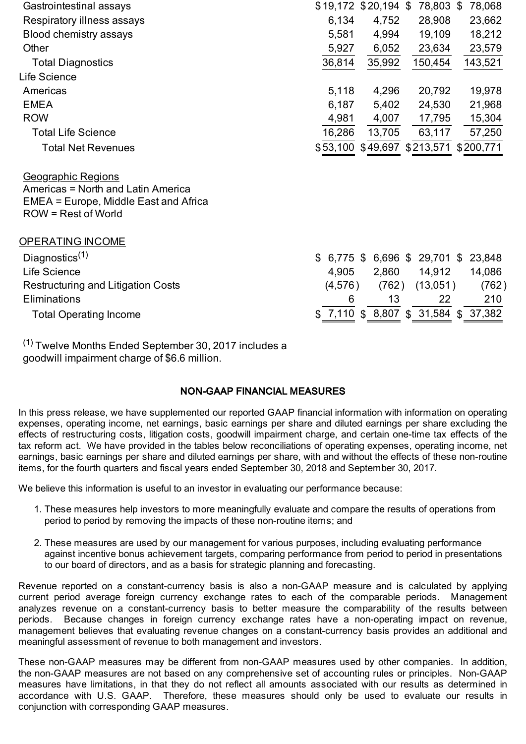| Gastrointestinal assays                                                                                                                |         | $$19,172$ \$20,194 \$ | 78,803 \$                   | 78,068    |
|----------------------------------------------------------------------------------------------------------------------------------------|---------|-----------------------|-----------------------------|-----------|
| Respiratory illness assays                                                                                                             | 6,134   | 4,752                 | 28,908                      | 23,662    |
| Blood chemistry assays                                                                                                                 | 5,581   | 4,994                 | 19,109                      | 18,212    |
| Other                                                                                                                                  | 5,927   | 6,052                 | 23,634                      | 23,579    |
| <b>Total Diagnostics</b>                                                                                                               | 36,814  | 35,992                | 150,454                     | 143,521   |
| Life Science                                                                                                                           |         |                       |                             |           |
| Americas                                                                                                                               | 5,118   | 4,296                 | 20,792                      | 19,978    |
| <b>EMEA</b>                                                                                                                            | 6,187   | 5,402                 | 24,530                      | 21,968    |
| <b>ROW</b>                                                                                                                             | 4,981   | 4,007                 | 17,795                      | 15,304    |
| <b>Total Life Science</b>                                                                                                              | 16,286  | 13,705                | 63,117                      | 57,250    |
| <b>Total Net Revenues</b>                                                                                                              |         |                       | \$53,100 \$49,697 \$213,571 | \$200,771 |
| <b>Geographic Regions</b><br>Americas = North and Latin America<br><b>EMEA = Europe, Middle East and Africa</b><br>ROW = Rest of World |         |                       |                             |           |
| <b>OPERATING INCOME</b>                                                                                                                |         |                       |                             |           |
| Diagnostics <sup>(1)</sup>                                                                                                             | \$      |                       | 6,775 \$ 6,696 \$ 29,701 \$ | 23,848    |
| Life Science                                                                                                                           | 4,905   | 2,860                 | 14,912                      | 14,086    |
| <b>Restructuring and Litigation Costs</b>                                                                                              | (4,576) | (762)                 | (13,051)                    | (762)     |
| Eliminations                                                                                                                           | 6       | 13                    | 22                          | 210       |
| <b>Total Operating Income</b>                                                                                                          | 7,110   | \$8,807               | $31,584$ \$<br>$\mathbb{S}$ | 37,382    |

 $(1)$  Twelve Months Ended September 30, 2017 includes a goodwill impairment charge of \$6.6 million.

## NON-GAAP FINANCIAL MEASURES

In this press release, we have supplemented our reported GAAP financial information with information on operating expenses, operating income, net earnings, basic earnings per share and diluted earnings per share excluding the effects of restructuring costs, litigation costs, goodwill impairment charge, and certain one-time tax effects of the tax reform act. We have provided in the tables below reconciliations of operating expenses, operating income, net earnings, basic earnings per share and diluted earnings per share, with and without the effects of these non-routine items, for the fourth quarters and fiscal years ended September 30, 2018 and September 30, 2017.

We believe this information is useful to an investor in evaluating our performance because:

- 1. These measures help investors to more meaningfully evaluate and compare the results of operations from period to period by removing the impacts of these non-routine items; and
- 2. These measures are used by our management for various purposes, including evaluating performance against incentive bonus achievement targets, comparing performance from period to period in presentations to our board of directors, and as a basis for strategic planning and forecasting.

Revenue reported on a constant-currency basis is also a non-GAAP measure and is calculated by applying current period average foreign currency exchange rates to each of the comparable periods. Management analyzes revenue on a constant-currency basis to better measure the comparability of the results between periods. Because changes in foreign currency exchange rates have a non-operating impact on revenue, management believes that evaluating revenue changes on a constant-currency basis provides an additional and meaningful assessment of revenue to both management and investors.

These non-GAAP measures may be different from non-GAAP measures used by other companies. In addition, the non-GAAP measures are not based on any comprehensive set of accounting rules or principles. Non-GAAP measures have limitations, in that they do not reflect all amounts associated with our results as determined in accordance with U.S. GAAP. Therefore, these measures should only be used to evaluate our results in conjunction with corresponding GAAP measures.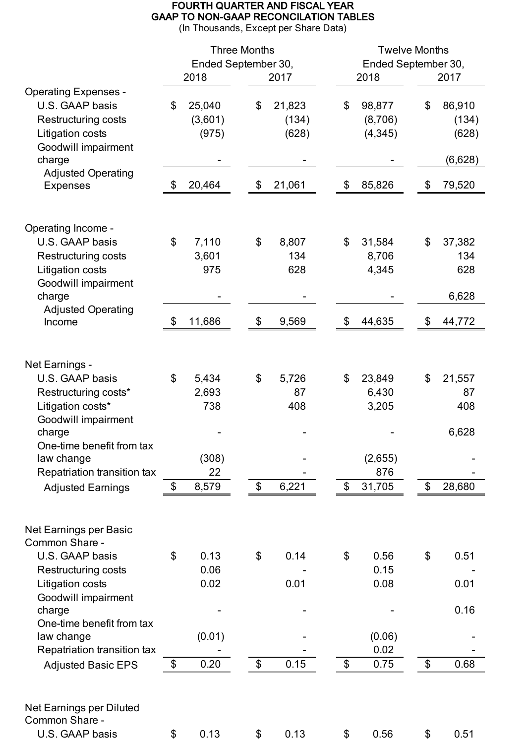## FOURTH QUARTER AND FISCAL YEAR GAAP TO NON-GAAP RECONCILATION TABLES

(In Thousands, Except per Share Data)

|                                                                                                                                                                                                                                                       | <b>Three Months</b>         |                                               |                                 | <b>Twelve Months</b><br>Ended September 30, |                           |                                                      |          |                                        |  |
|-------------------------------------------------------------------------------------------------------------------------------------------------------------------------------------------------------------------------------------------------------|-----------------------------|-----------------------------------------------|---------------------------------|---------------------------------------------|---------------------------|------------------------------------------------------|----------|----------------------------------------|--|
|                                                                                                                                                                                                                                                       |                             | Ended September 30,<br>2018                   |                                 |                                             |                           |                                                      | 2017     |                                        |  |
| <b>Operating Expenses -</b><br>U.S. GAAP basis<br>Restructuring costs<br>Litigation costs                                                                                                                                                             | $\boldsymbol{\mathsf{S}}$   | 25,040<br>(3,601)<br>(975)                    | \$                              | 2017<br>21,823<br>(134)<br>(628)            | \$                        | 2018<br>98,877<br>(8,706)<br>(4, 345)                | \$       | 86,910<br>(134)<br>(628)               |  |
| Goodwill impairment<br>charge                                                                                                                                                                                                                         |                             |                                               |                                 |                                             |                           |                                                      |          | (6,628)                                |  |
| <b>Adjusted Operating</b><br><b>Expenses</b>                                                                                                                                                                                                          | $\boldsymbol{\mathsf{S}}$   | 20,464                                        | \$                              | 21,061                                      | \$                        | 85,826                                               | \$       | 79,520                                 |  |
| Operating Income -<br>U.S. GAAP basis<br><b>Restructuring costs</b><br>Litigation costs<br>Goodwill impairment<br>charge                                                                                                                              | $\boldsymbol{\mathsf{S}}$   | 7,110<br>3,601<br>975                         | \$                              | 8,807<br>134<br>628                         | \$                        | 31,584<br>8,706<br>4,345                             | \$       | 37,382<br>134<br>628<br>6,628          |  |
| <b>Adjusted Operating</b><br>Income                                                                                                                                                                                                                   | $\boldsymbol{\mathsf{S}}$   | 11,686                                        | \$                              | 9,569                                       | $\boldsymbol{\mathsf{S}}$ | 44,635                                               | \$       | 44,772                                 |  |
| Net Earnings -<br>U.S. GAAP basis<br>Restructuring costs*<br>Litigation costs*<br>Goodwill impairment<br>charge<br>One-time benefit from tax<br>law change<br>Repatriation transition tax<br><b>Adjusted Earnings</b>                                 | \$<br>$\$\$                 | 5,434<br>2,693<br>738<br>(308)<br>22<br>8,579 | \$<br>$\boldsymbol{\mathsf{S}}$ | 5,726<br>87<br>408<br>6,221                 | \$<br>\$                  | 23,849<br>6,430<br>3,205<br>(2,655)<br>876<br>31,705 | \$<br>\$ | 21,557<br>87<br>408<br>6,628<br>28,680 |  |
| Net Earnings per Basic<br>Common Share -<br>U.S. GAAP basis<br><b>Restructuring costs</b><br>Litigation costs<br>Goodwill impairment<br>charge<br>One-time benefit from tax<br>law change<br>Repatriation transition tax<br><b>Adjusted Basic EPS</b> | \$<br>$\boldsymbol{\theta}$ | 0.13<br>0.06<br>0.02<br>(0.01)<br>0.20        | \$<br>\$                        | 0.14<br>0.01<br>0.15                        | \$<br>\$                  | 0.56<br>0.15<br>0.08<br>(0.06)<br>0.02<br>0.75       | \$<br>\$ | 0.51<br>0.01<br>0.16<br>0.68           |  |
| Net Earnings per Diluted<br>Common Share -<br>U.S. GAAP basis                                                                                                                                                                                         | \$                          | 0.13                                          | \$                              | 0.13                                        | \$                        | 0.56                                                 | \$       | 0.51                                   |  |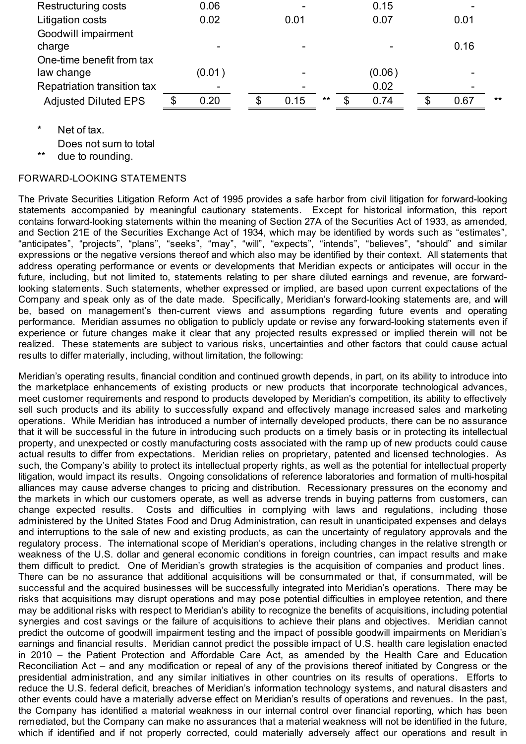| Restructuring costs         | 0.06                     |            |       | 0.15       |      |       |
|-----------------------------|--------------------------|------------|-------|------------|------|-------|
| Litigation costs            | 0.02                     | 0.01       |       | 0.07       | 0.01 |       |
| Goodwill impairment         |                          |            |       |            |      |       |
| charge                      |                          |            |       |            | 0.16 |       |
| One-time benefit from tax   |                          |            |       |            |      |       |
| law change                  | (0.01)                   |            |       | (0.06)     |      |       |
| Repatriation transition tax | $\overline{\phantom{a}}$ |            |       | 0.02       |      |       |
| <b>Adjusted Diluted EPS</b> | \$<br>0.20               | \$<br>0.15 | $***$ | \$<br>0.74 | 0.67 | $***$ |

Net of tax.

Does not sum to total

\*\* due to rounding.

## FORWARD-LOOKING STATEMENTS

The Private Securities Litigation Reform Act of 1995 provides a safe harbor from civil litigation for forward-looking statements accompanied by meaningful cautionary statements. Except for historical information, this report contains forward-looking statements within the meaning of Section 27A of the Securities Act of 1933, as amended, and Section 21E of the Securities Exchange Act of 1934, which may be identified by words such as "estimates", "anticipates", "projects", "plans", "seeks", "may", "will", "expects", "intends", "believes", "should" and similar expressions or the negative versions thereof and which also may be identified by their context. All statements that address operating performance or events or developments that Meridian expects or anticipates will occur in the future, including, but not limited to, statements relating to per share diluted earnings and revenue, are forwardlooking statements. Such statements, whether expressed or implied, are based upon current expectations of the Company and speak only as of the date made. Specifically, Meridian's forward-looking statements are, and will be, based on management's then-current views and assumptions regarding future events and operating performance. Meridian assumes no obligation to publicly update or revise any forward-looking statements even if experience or future changes make it clear that any projected results expressed or implied therein will not be realized. These statements are subject to various risks, uncertainties and other factors that could cause actual results to differ materially, including, without limitation, the following:

Meridian's operating results, financial condition and continued growth depends, in part, on its ability to introduce into the marketplace enhancements of existing products or new products that incorporate technological advances, meet customer requirements and respond to products developed by Meridian's competition, its ability to effectively sell such products and its ability to successfully expand and effectively manage increased sales and marketing operations. While Meridian has introduced a number of internally developed products, there can be no assurance that it will be successful in the future in introducing such products on a timely basis or in protecting its intellectual property, and unexpected or costly manufacturing costs associated with the ramp up of new products could cause actual results to differ from expectations. Meridian relies on proprietary, patented and licensed technologies. As such, the Company's ability to protect its intellectual property rights, as well as the potential for intellectual property litigation, would impact its results. Ongoing consolidations of reference laboratories and formation of multi-hospital alliances may cause adverse changes to pricing and distribution. Recessionary pressures on the economy and the markets in which our customers operate, as well as adverse trends in buying patterns from customers, can change expected results. Costs and difficulties in complying with laws and regulations, including those administered by the United States Food and Drug Administration, can result in unanticipated expenses and delays and interruptions to the sale of new and existing products, as can the uncertainty of regulatory approvals and the regulatory process. The international scope of Meridian's operations, including changes in the relative strength or weakness of the U.S. dollar and general economic conditions in foreign countries, can impact results and make them difficult to predict. One of Meridian's growth strategies is the acquisition of companies and product lines. There can be no assurance that additional acquisitions will be consummated or that, if consummated, will be successful and the acquired businesses will be successfully integrated into Meridian's operations. There may be risks that acquisitions may disrupt operations and may pose potential difficulties in employee retention, and there may be additional risks with respect to Meridian's ability to recognize the benefits of acquisitions, including potential synergies and cost savings or the failure of acquisitions to achieve their plans and objectives. Meridian cannot predict the outcome of goodwill impairment testing and the impact of possible goodwill impairments on Meridian's earnings and financial results. Meridian cannot predict the possible impact of U.S. health care legislation enacted in 2010 – the Patient Protection and Affordable Care Act, as amended by the Health Care and Education Reconciliation Act – and any modification or repeal of any of the provisions thereof initiated by Congress or the presidential administration, and any similar initiatives in other countries on its results of operations. Efforts to reduce the U.S. federal deficit, breaches of Meridian's information technology systems, and natural disasters and other events could have a materially adverse effect on Meridian's results of operations and revenues. In the past, the Company has identified a material weakness in our internal control over financial reporting, which has been remediated, but the Company can make no assurances that a material weakness will not be identified in the future, which if identified and if not properly corrected, could materially adversely affect our operations and result in